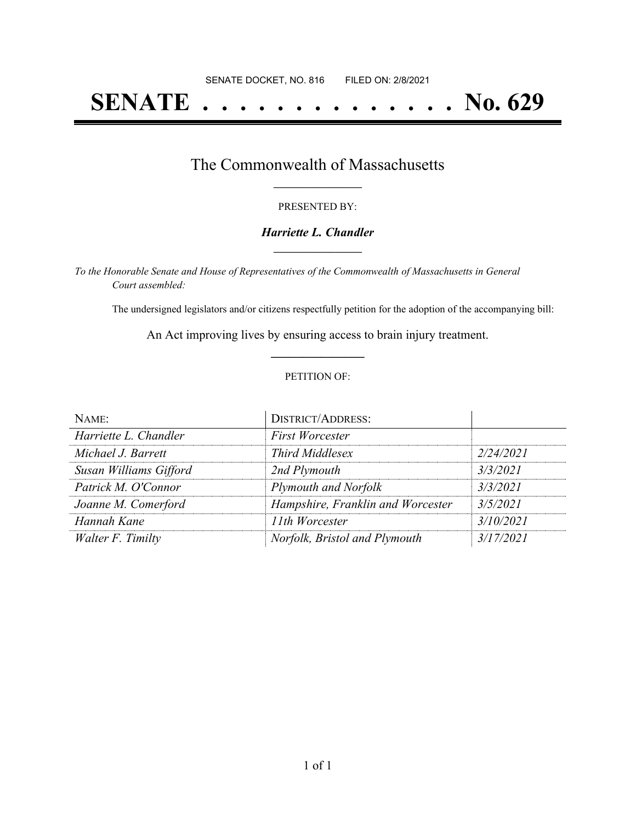# **SENATE . . . . . . . . . . . . . . No. 629**

### The Commonwealth of Massachusetts **\_\_\_\_\_\_\_\_\_\_\_\_\_\_\_\_\_**

#### PRESENTED BY:

#### *Harriette L. Chandler* **\_\_\_\_\_\_\_\_\_\_\_\_\_\_\_\_\_**

*To the Honorable Senate and House of Representatives of the Commonwealth of Massachusetts in General Court assembled:*

The undersigned legislators and/or citizens respectfully petition for the adoption of the accompanying bill:

An Act improving lives by ensuring access to brain injury treatment. **\_\_\_\_\_\_\_\_\_\_\_\_\_\_\_**

#### PETITION OF:

| NAME:                  | <b>DISTRICT/ADDRESS:</b>          |           |
|------------------------|-----------------------------------|-----------|
| Harriette L. Chandler  | <b>First Worcester</b>            |           |
| Michael J. Barrett     | <b>Third Middlesex</b>            | 2/24/2021 |
| Susan Williams Gifford | 2nd Plymouth                      | 3/3/2021  |
| Patrick M. O'Connor    | Plymouth and Norfolk              | 3/3/2021  |
| Joanne M. Comerford    | Hampshire, Franklin and Worcester | 3/5/2021  |
| Hannah Kane            | 11th Worcester                    | 3/10/2021 |
| Walter F. Timilty      | Norfolk, Bristol and Plymouth     | 3/17/2021 |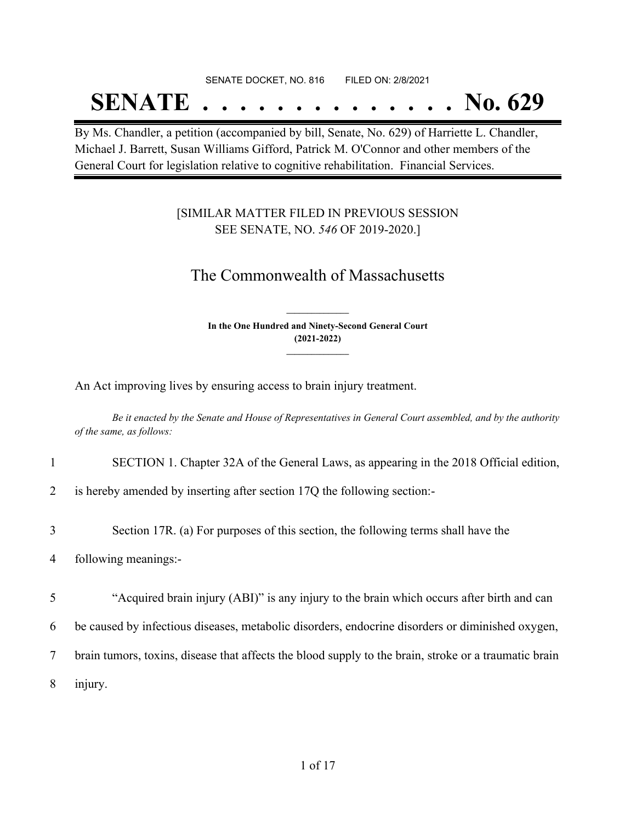#### SENATE DOCKET, NO. 816 FILED ON: 2/8/2021

## **SENATE . . . . . . . . . . . . . . No. 629**

By Ms. Chandler, a petition (accompanied by bill, Senate, No. 629) of Harriette L. Chandler, Michael J. Barrett, Susan Williams Gifford, Patrick M. O'Connor and other members of the General Court for legislation relative to cognitive rehabilitation. Financial Services.

### [SIMILAR MATTER FILED IN PREVIOUS SESSION SEE SENATE, NO. *546* OF 2019-2020.]

## The Commonwealth of Massachusetts

**In the One Hundred and Ninety-Second General Court (2021-2022) \_\_\_\_\_\_\_\_\_\_\_\_\_\_\_**

**\_\_\_\_\_\_\_\_\_\_\_\_\_\_\_**

An Act improving lives by ensuring access to brain injury treatment.

Be it enacted by the Senate and House of Representatives in General Court assembled, and by the authority *of the same, as follows:*

- 1 SECTION 1. Chapter 32A of the General Laws, as appearing in the 2018 Official edition,
- 2 is hereby amended by inserting after section 17Q the following section:-
- 3 Section 17R. (a) For purposes of this section, the following terms shall have the
- 4 following meanings:-

5 "Acquired brain injury (ABI)" is any injury to the brain which occurs after birth and can

6 be caused by infectious diseases, metabolic disorders, endocrine disorders or diminished oxygen,

7 brain tumors, toxins, disease that affects the blood supply to the brain, stroke or a traumatic brain

8 injury.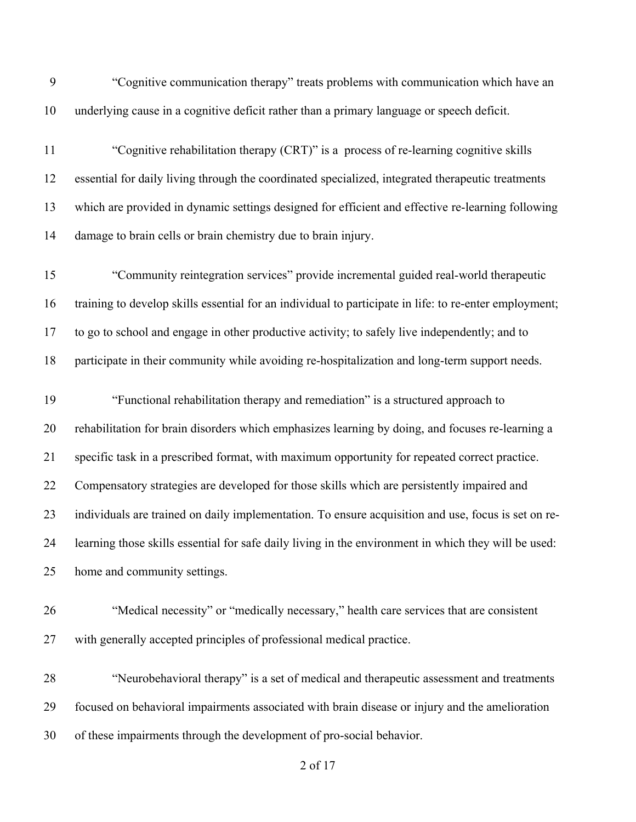- "Cognitive communication therapy" treats problems with communication which have an underlying cause in a cognitive deficit rather than a primary language or speech deficit.
- "Cognitive rehabilitation therapy (CRT)" is a process of re-learning cognitive skills essential for daily living through the coordinated specialized, integrated therapeutic treatments which are provided in dynamic settings designed for efficient and effective re-learning following damage to brain cells or brain chemistry due to brain injury.

 "Community reintegration services" provide incremental guided real-world therapeutic training to develop skills essential for an individual to participate in life: to re-enter employment; to go to school and engage in other productive activity; to safely live independently; and to participate in their community while avoiding re-hospitalization and long-term support needs.

- "Functional rehabilitation therapy and remediation" is a structured approach to rehabilitation for brain disorders which emphasizes learning by doing, and focuses re-learning a specific task in a prescribed format, with maximum opportunity for repeated correct practice. Compensatory strategies are developed for those skills which are persistently impaired and individuals are trained on daily implementation. To ensure acquisition and use, focus is set on re- learning those skills essential for safe daily living in the environment in which they will be used: home and community settings.
- "Medical necessity" or "medically necessary," health care services that are consistent with generally accepted principles of professional medical practice.
- "Neurobehavioral therapy" is a set of medical and therapeutic assessment and treatments focused on behavioral impairments associated with brain disease or injury and the amelioration of these impairments through the development of pro-social behavior.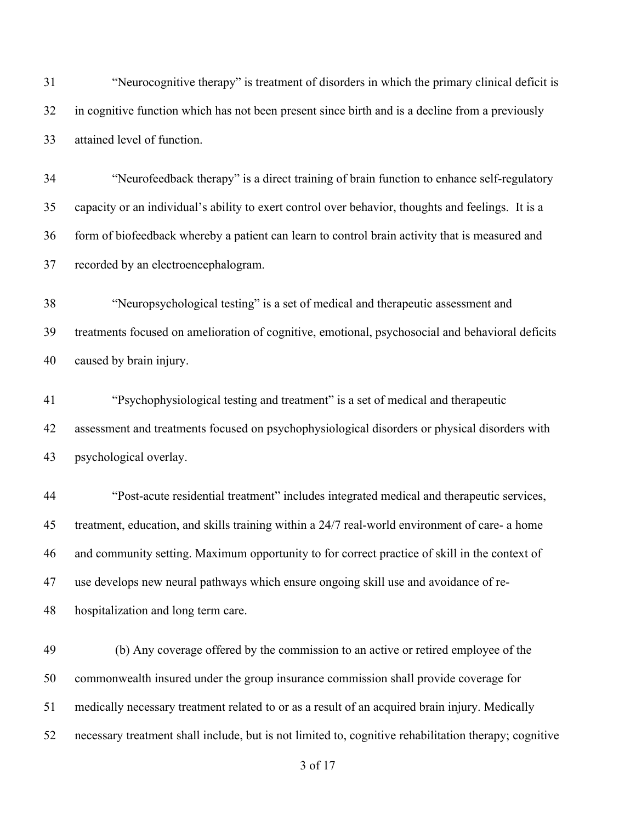"Neurocognitive therapy" is treatment of disorders in which the primary clinical deficit is in cognitive function which has not been present since birth and is a decline from a previously attained level of function.

 "Neurofeedback therapy" is a direct training of brain function to enhance self-regulatory capacity or an individual's ability to exert control over behavior, thoughts and feelings. It is a form of biofeedback whereby a patient can learn to control brain activity that is measured and recorded by an electroencephalogram.

 "Neuropsychological testing" is a set of medical and therapeutic assessment and treatments focused on amelioration of cognitive, emotional, psychosocial and behavioral deficits caused by brain injury.

 "Psychophysiological testing and treatment" is a set of medical and therapeutic assessment and treatments focused on psychophysiological disorders or physical disorders with psychological overlay.

 "Post-acute residential treatment" includes integrated medical and therapeutic services, treatment, education, and skills training within a 24/7 real-world environment of care- a home and community setting. Maximum opportunity to for correct practice of skill in the context of use develops new neural pathways which ensure ongoing skill use and avoidance of re-hospitalization and long term care.

 (b) Any coverage offered by the commission to an active or retired employee of the commonwealth insured under the group insurance commission shall provide coverage for medically necessary treatment related to or as a result of an acquired brain injury. Medically necessary treatment shall include, but is not limited to, cognitive rehabilitation therapy; cognitive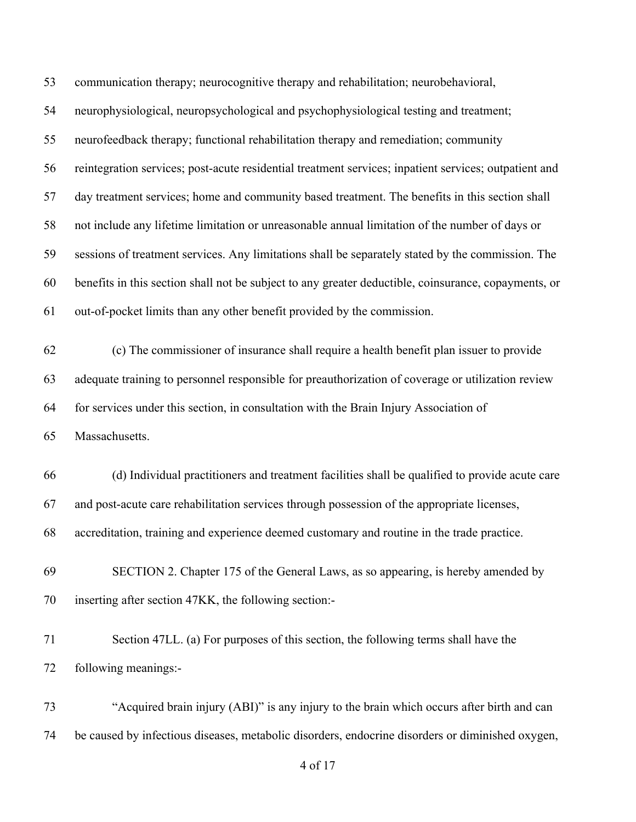communication therapy; neurocognitive therapy and rehabilitation; neurobehavioral, neurophysiological, neuropsychological and psychophysiological testing and treatment; neurofeedback therapy; functional rehabilitation therapy and remediation; community reintegration services; post-acute residential treatment services; inpatient services; outpatient and day treatment services; home and community based treatment. The benefits in this section shall not include any lifetime limitation or unreasonable annual limitation of the number of days or sessions of treatment services. Any limitations shall be separately stated by the commission. The benefits in this section shall not be subject to any greater deductible, coinsurance, copayments, or out-of-pocket limits than any other benefit provided by the commission. (c) The commissioner of insurance shall require a health benefit plan issuer to provide adequate training to personnel responsible for preauthorization of coverage or utilization review for services under this section, in consultation with the Brain Injury Association of Massachusetts. (d) Individual practitioners and treatment facilities shall be qualified to provide acute care and post-acute care rehabilitation services through possession of the appropriate licenses, accreditation, training and experience deemed customary and routine in the trade practice. SECTION 2. Chapter 175 of the General Laws, as so appearing, is hereby amended by

inserting after section 47KK, the following section:-

 Section 47LL. (a) For purposes of this section, the following terms shall have the following meanings:-

 "Acquired brain injury (ABI)" is any injury to the brain which occurs after birth and can be caused by infectious diseases, metabolic disorders, endocrine disorders or diminished oxygen,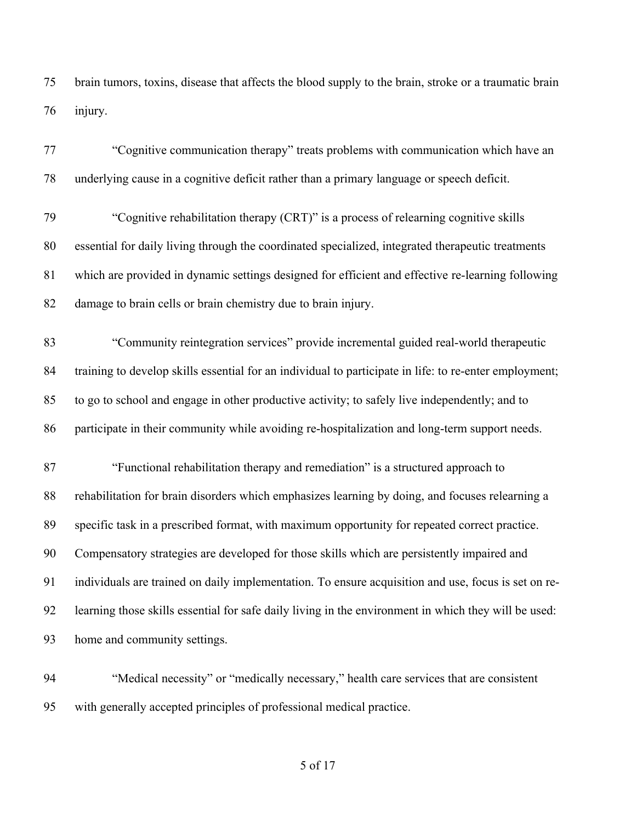brain tumors, toxins, disease that affects the blood supply to the brain, stroke or a traumatic brain injury.

 "Cognitive communication therapy" treats problems with communication which have an underlying cause in a cognitive deficit rather than a primary language or speech deficit. "Cognitive rehabilitation therapy (CRT)" is a process of relearning cognitive skills essential for daily living through the coordinated specialized, integrated therapeutic treatments which are provided in dynamic settings designed for efficient and effective re-learning following damage to brain cells or brain chemistry due to brain injury. "Community reintegration services" provide incremental guided real-world therapeutic training to develop skills essential for an individual to participate in life: to re-enter employment; to go to school and engage in other productive activity; to safely live independently; and to participate in their community while avoiding re-hospitalization and long-term support needs. "Functional rehabilitation therapy and remediation" is a structured approach to rehabilitation for brain disorders which emphasizes learning by doing, and focuses relearning a specific task in a prescribed format, with maximum opportunity for repeated correct practice. Compensatory strategies are developed for those skills which are persistently impaired and individuals are trained on daily implementation. To ensure acquisition and use, focus is set on re- learning those skills essential for safe daily living in the environment in which they will be used: home and community settings.

 "Medical necessity" or "medically necessary," health care services that are consistent with generally accepted principles of professional medical practice.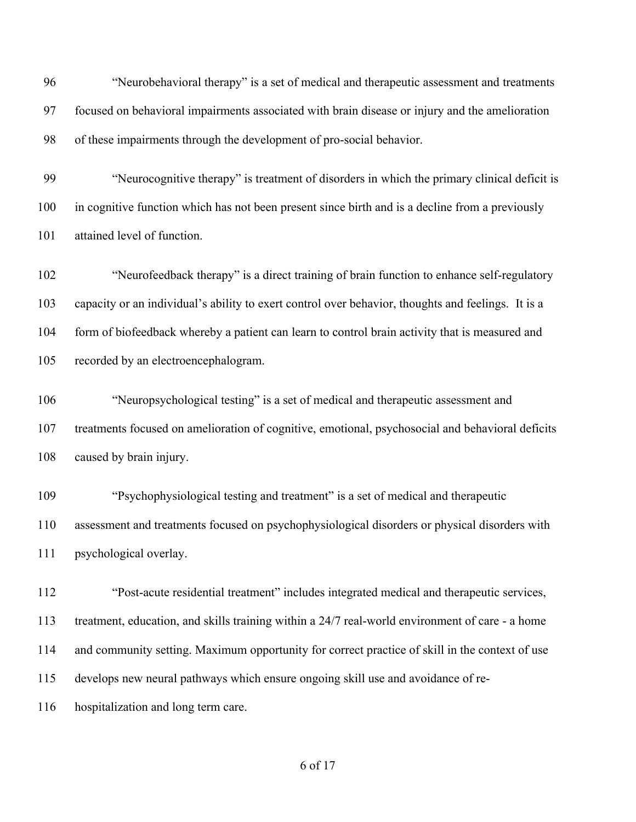"Neurobehavioral therapy" is a set of medical and therapeutic assessment and treatments focused on behavioral impairments associated with brain disease or injury and the amelioration of these impairments through the development of pro-social behavior. "Neurocognitive therapy" is treatment of disorders in which the primary clinical deficit is

 in cognitive function which has not been present since birth and is a decline from a previously attained level of function.

 "Neurofeedback therapy" is a direct training of brain function to enhance self-regulatory capacity or an individual's ability to exert control over behavior, thoughts and feelings. It is a form of biofeedback whereby a patient can learn to control brain activity that is measured and recorded by an electroencephalogram.

 "Neuropsychological testing" is a set of medical and therapeutic assessment and treatments focused on amelioration of cognitive, emotional, psychosocial and behavioral deficits caused by brain injury.

 "Psychophysiological testing and treatment" is a set of medical and therapeutic assessment and treatments focused on psychophysiological disorders or physical disorders with psychological overlay.

 "Post-acute residential treatment" includes integrated medical and therapeutic services, treatment, education, and skills training within a 24/7 real-world environment of care - a home and community setting. Maximum opportunity for correct practice of skill in the context of use develops new neural pathways which ensure ongoing skill use and avoidance of re-hospitalization and long term care.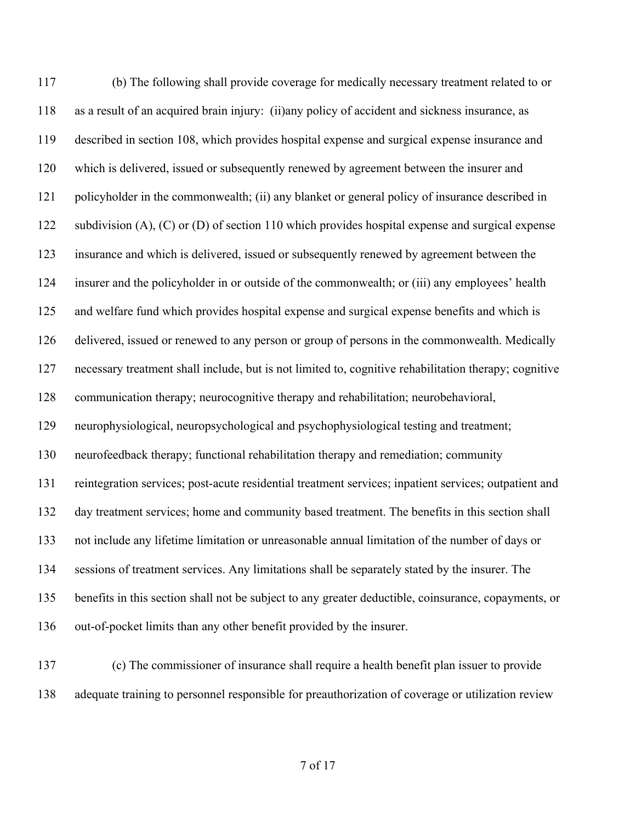(b) The following shall provide coverage for medically necessary treatment related to or as a result of an acquired brain injury: (ii)any policy of accident and sickness insurance, as described in section 108, which provides hospital expense and surgical expense insurance and which is delivered, issued or subsequently renewed by agreement between the insurer and policyholder in the commonwealth; (ii) any blanket or general policy of insurance described in 122 subdivision (A), (C) or (D) of section 110 which provides hospital expense and surgical expense insurance and which is delivered, issued or subsequently renewed by agreement between the insurer and the policyholder in or outside of the commonwealth; or (iii) any employees' health and welfare fund which provides hospital expense and surgical expense benefits and which is delivered, issued or renewed to any person or group of persons in the commonwealth. Medically necessary treatment shall include, but is not limited to, cognitive rehabilitation therapy; cognitive communication therapy; neurocognitive therapy and rehabilitation; neurobehavioral, neurophysiological, neuropsychological and psychophysiological testing and treatment; neurofeedback therapy; functional rehabilitation therapy and remediation; community reintegration services; post-acute residential treatment services; inpatient services; outpatient and day treatment services; home and community based treatment. The benefits in this section shall not include any lifetime limitation or unreasonable annual limitation of the number of days or sessions of treatment services. Any limitations shall be separately stated by the insurer. The benefits in this section shall not be subject to any greater deductible, coinsurance, copayments, or out-of-pocket limits than any other benefit provided by the insurer.

 (c) The commissioner of insurance shall require a health benefit plan issuer to provide adequate training to personnel responsible for preauthorization of coverage or utilization review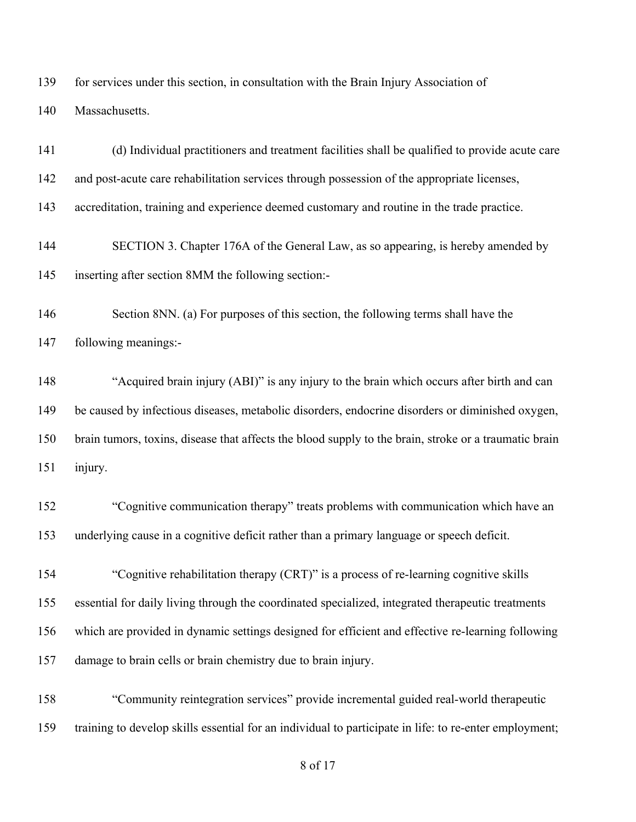for services under this section, in consultation with the Brain Injury Association of

Massachusetts.

 (d) Individual practitioners and treatment facilities shall be qualified to provide acute care and post-acute care rehabilitation services through possession of the appropriate licenses, accreditation, training and experience deemed customary and routine in the trade practice. SECTION 3. Chapter 176A of the General Law, as so appearing, is hereby amended by inserting after section 8MM the following section:- Section 8NN. (a) For purposes of this section, the following terms shall have the following meanings:- "Acquired brain injury (ABI)" is any injury to the brain which occurs after birth and can be caused by infectious diseases, metabolic disorders, endocrine disorders or diminished oxygen, brain tumors, toxins, disease that affects the blood supply to the brain, stroke or a traumatic brain injury. "Cognitive communication therapy" treats problems with communication which have an underlying cause in a cognitive deficit rather than a primary language or speech deficit. "Cognitive rehabilitation therapy (CRT)" is a process of re-learning cognitive skills essential for daily living through the coordinated specialized, integrated therapeutic treatments which are provided in dynamic settings designed for efficient and effective re-learning following damage to brain cells or brain chemistry due to brain injury. "Community reintegration services" provide incremental guided real-world therapeutic training to develop skills essential for an individual to participate in life: to re-enter employment;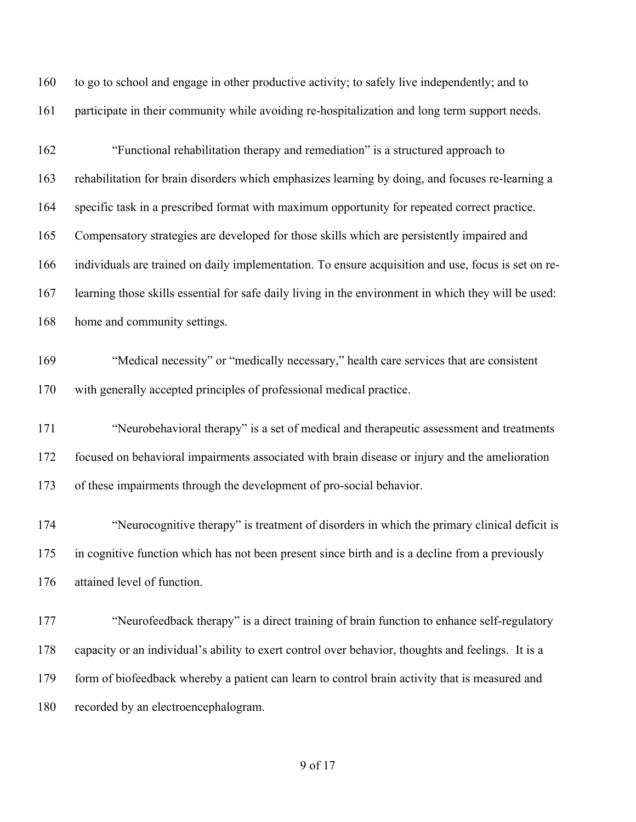to go to school and engage in other productive activity; to safely live independently; and to participate in their community while avoiding re-hospitalization and long term support needs.

 "Functional rehabilitation therapy and remediation" is a structured approach to rehabilitation for brain disorders which emphasizes learning by doing, and focuses re-learning a specific task in a prescribed format with maximum opportunity for repeated correct practice. Compensatory strategies are developed for those skills which are persistently impaired and individuals are trained on daily implementation. To ensure acquisition and use, focus is set on re- learning those skills essential for safe daily living in the environment in which they will be used: home and community settings.

- "Medical necessity" or "medically necessary," health care services that are consistent with generally accepted principles of professional medical practice.
- "Neurobehavioral therapy" is a set of medical and therapeutic assessment and treatments focused on behavioral impairments associated with brain disease or injury and the amelioration of these impairments through the development of pro-social behavior.
- "Neurocognitive therapy" is treatment of disorders in which the primary clinical deficit is in cognitive function which has not been present since birth and is a decline from a previously attained level of function.
- 177 "Neurofeedback therapy" is a direct training of brain function to enhance self-regulatory capacity or an individual's ability to exert control over behavior, thoughts and feelings. It is a 179 form of biofeedback whereby a patient can learn to control brain activity that is measured and recorded by an electroencephalogram.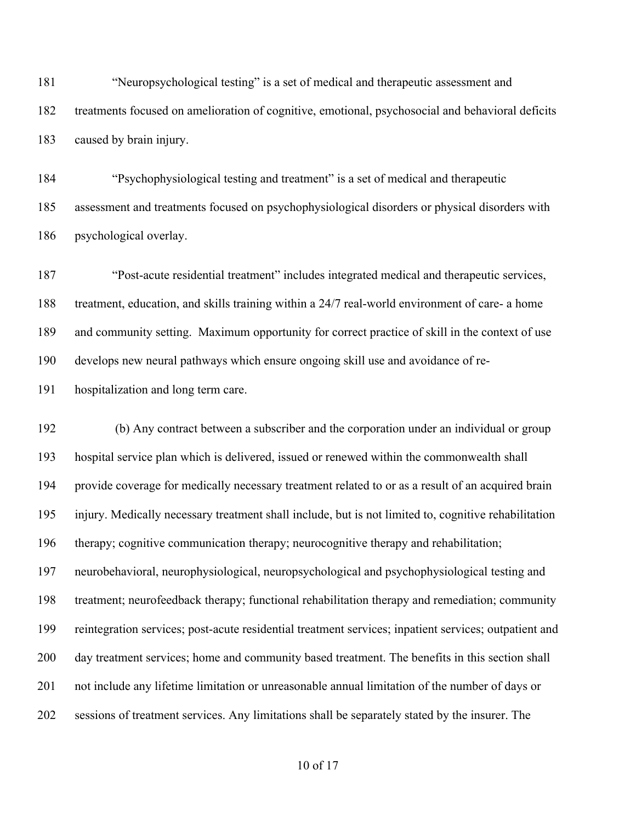"Neuropsychological testing" is a set of medical and therapeutic assessment and treatments focused on amelioration of cognitive, emotional, psychosocial and behavioral deficits caused by brain injury.

 "Psychophysiological testing and treatment" is a set of medical and therapeutic assessment and treatments focused on psychophysiological disorders or physical disorders with psychological overlay.

 "Post-acute residential treatment" includes integrated medical and therapeutic services, treatment, education, and skills training within a 24/7 real-world environment of care- a home and community setting. Maximum opportunity for correct practice of skill in the context of use develops new neural pathways which ensure ongoing skill use and avoidance of re-

hospitalization and long term care.

 (b) Any contract between a subscriber and the corporation under an individual or group hospital service plan which is delivered, issued or renewed within the commonwealth shall provide coverage for medically necessary treatment related to or as a result of an acquired brain injury. Medically necessary treatment shall include, but is not limited to, cognitive rehabilitation therapy; cognitive communication therapy; neurocognitive therapy and rehabilitation; neurobehavioral, neurophysiological, neuropsychological and psychophysiological testing and treatment; neurofeedback therapy; functional rehabilitation therapy and remediation; community reintegration services; post-acute residential treatment services; inpatient services; outpatient and day treatment services; home and community based treatment. The benefits in this section shall not include any lifetime limitation or unreasonable annual limitation of the number of days or sessions of treatment services. Any limitations shall be separately stated by the insurer. The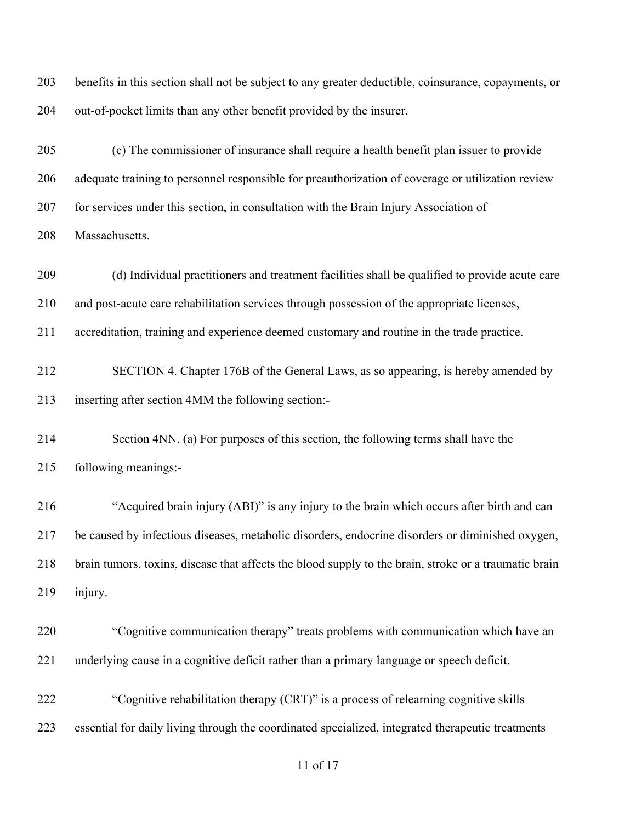benefits in this section shall not be subject to any greater deductible, coinsurance, copayments, or out-of-pocket limits than any other benefit provided by the insurer.

 (c) The commissioner of insurance shall require a health benefit plan issuer to provide adequate training to personnel responsible for preauthorization of coverage or utilization review for services under this section, in consultation with the Brain Injury Association of Massachusetts.

(d) Individual practitioners and treatment facilities shall be qualified to provide acute care

and post-acute care rehabilitation services through possession of the appropriate licenses,

accreditation, training and experience deemed customary and routine in the trade practice.

 SECTION 4. Chapter 176B of the General Laws, as so appearing, is hereby amended by inserting after section 4MM the following section:-

 Section 4NN. (a) For purposes of this section, the following terms shall have the following meanings:-

 "Acquired brain injury (ABI)" is any injury to the brain which occurs after birth and can be caused by infectious diseases, metabolic disorders, endocrine disorders or diminished oxygen, brain tumors, toxins, disease that affects the blood supply to the brain, stroke or a traumatic brain injury.

 "Cognitive communication therapy" treats problems with communication which have an underlying cause in a cognitive deficit rather than a primary language or speech deficit.

 "Cognitive rehabilitation therapy (CRT)" is a process of relearning cognitive skills essential for daily living through the coordinated specialized, integrated therapeutic treatments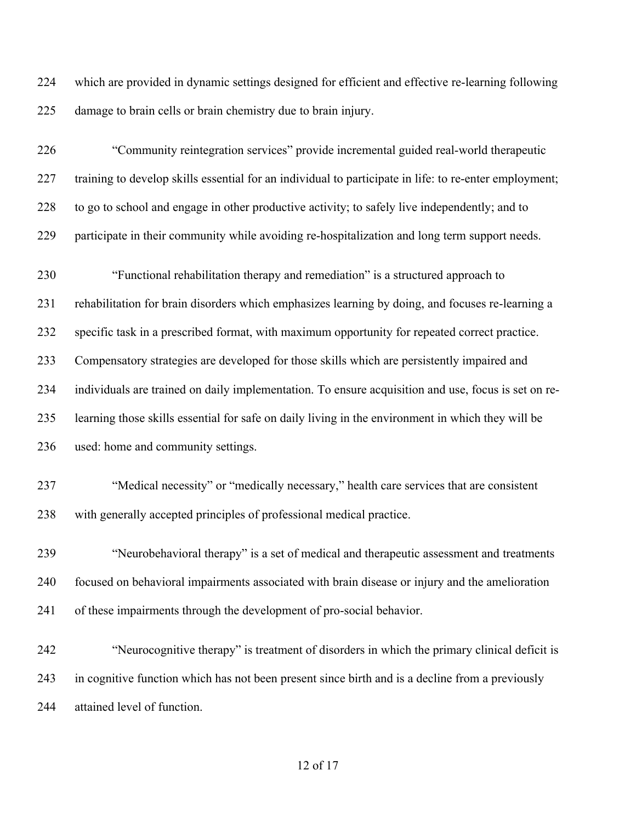which are provided in dynamic settings designed for efficient and effective re-learning following damage to brain cells or brain chemistry due to brain injury.

 "Community reintegration services" provide incremental guided real-world therapeutic training to develop skills essential for an individual to participate in life: to re-enter employment; to go to school and engage in other productive activity; to safely live independently; and to participate in their community while avoiding re-hospitalization and long term support needs.

 "Functional rehabilitation therapy and remediation" is a structured approach to rehabilitation for brain disorders which emphasizes learning by doing, and focuses re-learning a specific task in a prescribed format, with maximum opportunity for repeated correct practice. Compensatory strategies are developed for those skills which are persistently impaired and individuals are trained on daily implementation. To ensure acquisition and use, focus is set on re- learning those skills essential for safe on daily living in the environment in which they will be used: home and community settings.

 "Medical necessity" or "medically necessary," health care services that are consistent with generally accepted principles of professional medical practice.

 "Neurobehavioral therapy" is a set of medical and therapeutic assessment and treatments focused on behavioral impairments associated with brain disease or injury and the amelioration of these impairments through the development of pro-social behavior.

 "Neurocognitive therapy" is treatment of disorders in which the primary clinical deficit is in cognitive function which has not been present since birth and is a decline from a previously attained level of function.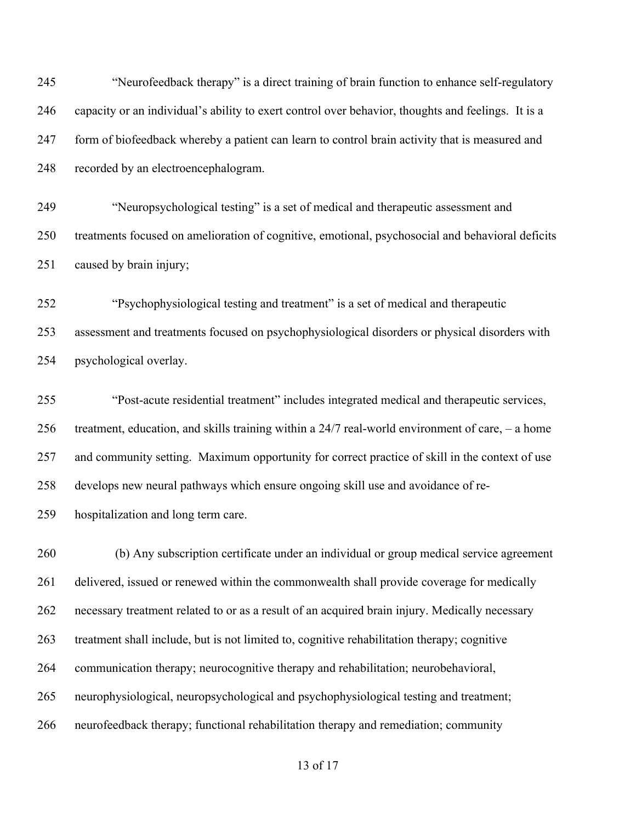"Neurofeedback therapy" is a direct training of brain function to enhance self-regulatory capacity or an individual's ability to exert control over behavior, thoughts and feelings. It is a form of biofeedback whereby a patient can learn to control brain activity that is measured and recorded by an electroencephalogram.

 "Neuropsychological testing" is a set of medical and therapeutic assessment and treatments focused on amelioration of cognitive, emotional, psychosocial and behavioral deficits caused by brain injury;

 "Psychophysiological testing and treatment" is a set of medical and therapeutic assessment and treatments focused on psychophysiological disorders or physical disorders with psychological overlay.

 "Post-acute residential treatment" includes integrated medical and therapeutic services, treatment, education, and skills training within a 24/7 real-world environment of care, – a home and community setting. Maximum opportunity for correct practice of skill in the context of use develops new neural pathways which ensure ongoing skill use and avoidance of re-hospitalization and long term care.

 (b) Any subscription certificate under an individual or group medical service agreement 261 delivered, issued or renewed within the commonwealth shall provide coverage for medically necessary treatment related to or as a result of an acquired brain injury. Medically necessary treatment shall include, but is not limited to, cognitive rehabilitation therapy; cognitive communication therapy; neurocognitive therapy and rehabilitation; neurobehavioral, neurophysiological, neuropsychological and psychophysiological testing and treatment; neurofeedback therapy; functional rehabilitation therapy and remediation; community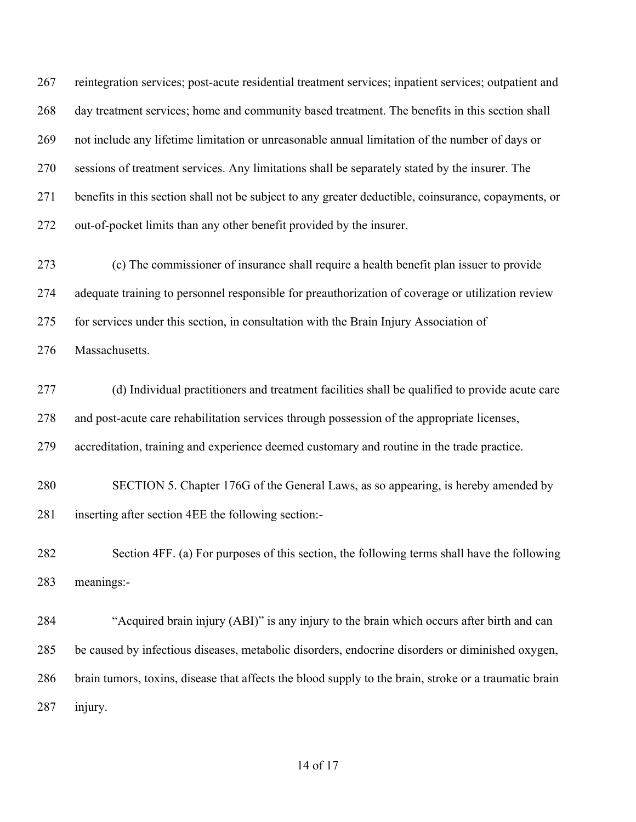reintegration services; post-acute residential treatment services; inpatient services; outpatient and day treatment services; home and community based treatment. The benefits in this section shall not include any lifetime limitation or unreasonable annual limitation of the number of days or sessions of treatment services. Any limitations shall be separately stated by the insurer. The benefits in this section shall not be subject to any greater deductible, coinsurance, copayments, or out-of-pocket limits than any other benefit provided by the insurer.

 (c) The commissioner of insurance shall require a health benefit plan issuer to provide adequate training to personnel responsible for preauthorization of coverage or utilization review for services under this section, in consultation with the Brain Injury Association of

Massachusetts.

 (d) Individual practitioners and treatment facilities shall be qualified to provide acute care and post-acute care rehabilitation services through possession of the appropriate licenses,

accreditation, training and experience deemed customary and routine in the trade practice.

 SECTION 5. Chapter 176G of the General Laws, as so appearing, is hereby amended by inserting after section 4EE the following section:-

 Section 4FF. (a) For purposes of this section, the following terms shall have the following meanings:-

 "Acquired brain injury (ABI)" is any injury to the brain which occurs after birth and can be caused by infectious diseases, metabolic disorders, endocrine disorders or diminished oxygen, brain tumors, toxins, disease that affects the blood supply to the brain, stroke or a traumatic brain injury.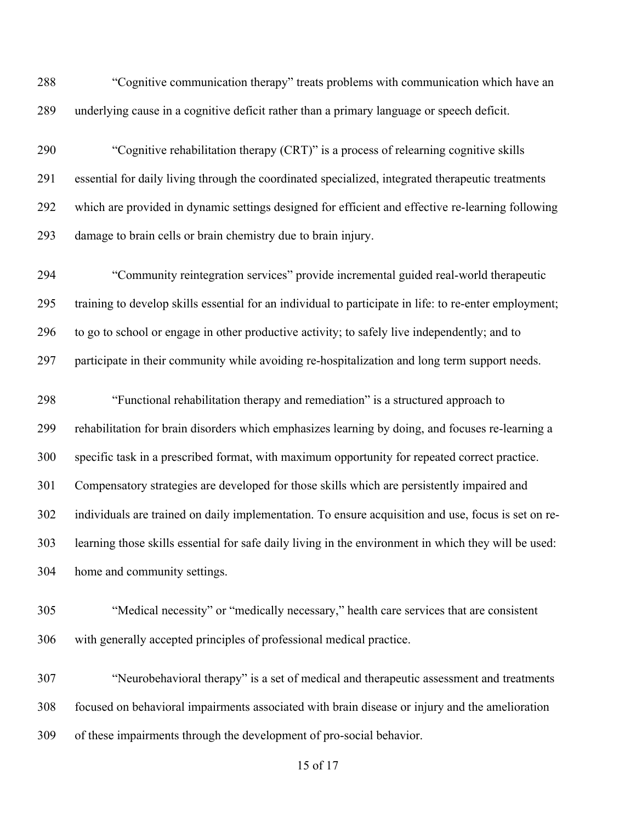"Cognitive communication therapy" treats problems with communication which have an underlying cause in a cognitive deficit rather than a primary language or speech deficit.

 "Cognitive rehabilitation therapy (CRT)" is a process of relearning cognitive skills essential for daily living through the coordinated specialized, integrated therapeutic treatments which are provided in dynamic settings designed for efficient and effective re-learning following damage to brain cells or brain chemistry due to brain injury.

 "Community reintegration services" provide incremental guided real-world therapeutic training to develop skills essential for an individual to participate in life: to re-enter employment; to go to school or engage in other productive activity; to safely live independently; and to participate in their community while avoiding re-hospitalization and long term support needs.

 "Functional rehabilitation therapy and remediation" is a structured approach to rehabilitation for brain disorders which emphasizes learning by doing, and focuses re-learning a specific task in a prescribed format, with maximum opportunity for repeated correct practice. Compensatory strategies are developed for those skills which are persistently impaired and individuals are trained on daily implementation. To ensure acquisition and use, focus is set on re- learning those skills essential for safe daily living in the environment in which they will be used: home and community settings.

 "Medical necessity" or "medically necessary," health care services that are consistent with generally accepted principles of professional medical practice.

 "Neurobehavioral therapy" is a set of medical and therapeutic assessment and treatments focused on behavioral impairments associated with brain disease or injury and the amelioration of these impairments through the development of pro-social behavior.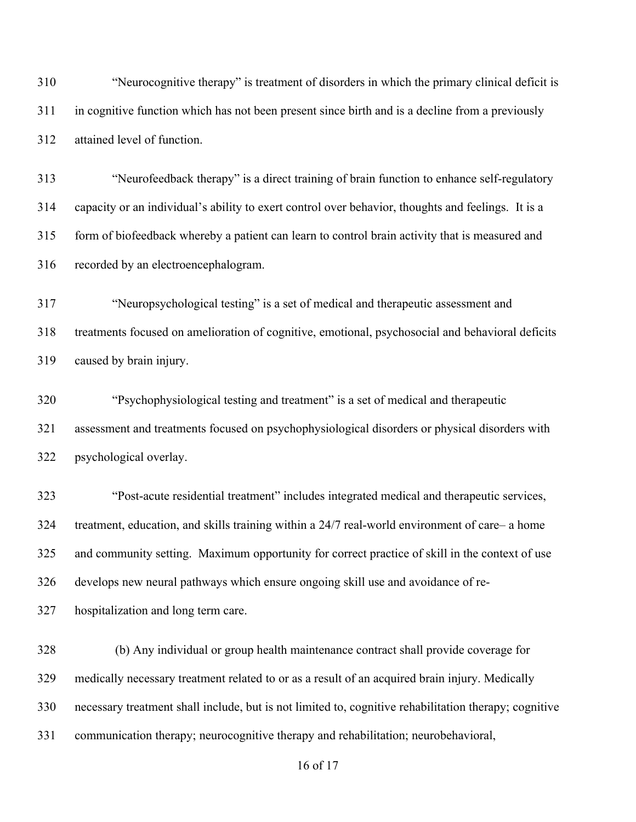"Neurocognitive therapy" is treatment of disorders in which the primary clinical deficit is in cognitive function which has not been present since birth and is a decline from a previously attained level of function.

 "Neurofeedback therapy" is a direct training of brain function to enhance self-regulatory capacity or an individual's ability to exert control over behavior, thoughts and feelings. It is a form of biofeedback whereby a patient can learn to control brain activity that is measured and recorded by an electroencephalogram.

 "Neuropsychological testing" is a set of medical and therapeutic assessment and treatments focused on amelioration of cognitive, emotional, psychosocial and behavioral deficits caused by brain injury.

 "Psychophysiological testing and treatment" is a set of medical and therapeutic assessment and treatments focused on psychophysiological disorders or physical disorders with psychological overlay.

 "Post-acute residential treatment" includes integrated medical and therapeutic services, treatment, education, and skills training within a 24/7 real-world environment of care– a home and community setting. Maximum opportunity for correct practice of skill in the context of use develops new neural pathways which ensure ongoing skill use and avoidance of re-

hospitalization and long term care.

 (b) Any individual or group health maintenance contract shall provide coverage for medically necessary treatment related to or as a result of an acquired brain injury. Medically necessary treatment shall include, but is not limited to, cognitive rehabilitation therapy; cognitive communication therapy; neurocognitive therapy and rehabilitation; neurobehavioral,